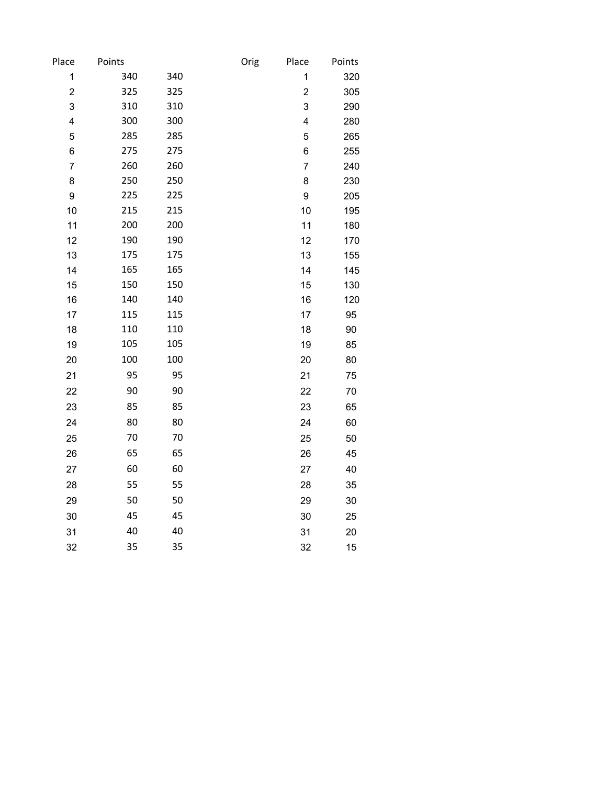| Points |                                 | Orig                     | Place          | Points         |
|--------|---------------------------------|--------------------------|----------------|----------------|
| 340    | 340                             |                          | 1              | 320            |
| 325    | 325                             |                          | $\mathbf 2$    | 305            |
| 310    | 310                             |                          | 3              | 290            |
| 300    | 300                             |                          | 4              | 280            |
| 285    | 285                             |                          | 5              | 265            |
| 275    | 275                             |                          | 6              | 255            |
| 260    | 260                             |                          | $\overline{7}$ | 240            |
| 250    | 250                             |                          | 8              | 230            |
| 225    | 225                             |                          | 9              | 205            |
| 215    | 215                             |                          | 10             | 195            |
| 200    | 200                             |                          | 11             | 180            |
| 190    | 190                             |                          | 12             | 170            |
| 175    | 175                             |                          | 13             | 155            |
| 165    | 165                             |                          | 14             | 145            |
| 150    | 150                             |                          | 15             | 130            |
|        |                                 |                          | 16             | 120            |
|        |                                 |                          |                | 95             |
|        |                                 |                          |                | 90             |
|        |                                 |                          |                | 85             |
|        | 100                             |                          | 20             | 80             |
| 95     | 95                              |                          | 21             | 75             |
| 90     | 90                              |                          | 22             | 70             |
| 85     | 85                              |                          | 23             | 65             |
| 80     | 80                              |                          | 24             | 60             |
| 70     | 70                              |                          | 25             | 50             |
| 65     | 65                              |                          | 26             | 45             |
| 60     | 60                              |                          | 27             | 40             |
| 55     | 55                              |                          | 28             | 35             |
| 50     | 50                              |                          | 29             | 30             |
| 45     | 45                              |                          | 30             | 25             |
| 40     | 40                              |                          | 31             | 20             |
| 35     | 35                              |                          | 32             | 15             |
|        | 140<br>115<br>110<br>105<br>100 | 140<br>115<br>110<br>105 |                | 17<br>18<br>19 |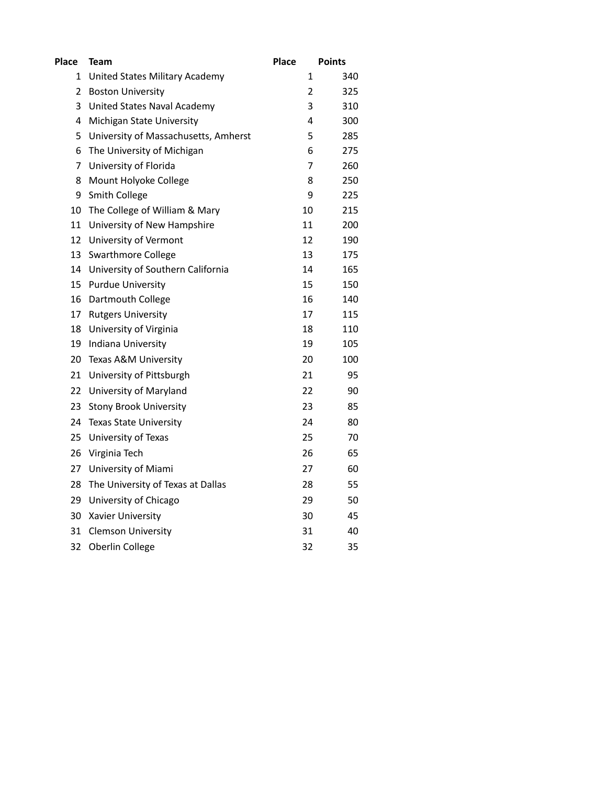| <b>Place</b> | Team                                 | <b>Place</b>   | <b>Points</b> |
|--------------|--------------------------------------|----------------|---------------|
| 1            | United States Military Academy       | 1              | 340           |
| 2            | <b>Boston University</b>             | $\overline{2}$ | 325           |
| 3            | United States Naval Academy          | 3              | 310           |
| 4            | Michigan State University            | 4              | 300           |
| 5            | University of Massachusetts, Amherst | 5              | 285           |
| 6            | The University of Michigan           | 6              | 275           |
| 7            | University of Florida                | 7              | 260           |
| 8            | Mount Holyoke College                | 8              | 250           |
| 9            | <b>Smith College</b>                 | 9              | 225           |
| 10           | The College of William & Mary        | 10             | 215           |
| 11           | University of New Hampshire          | 11             | 200           |
| 12           | University of Vermont                | 12             | 190           |
| 13           | <b>Swarthmore College</b>            | 13             | 175           |
| 14           | University of Southern California    | 14             | 165           |
| 15           | <b>Purdue University</b>             | 15             | 150           |
| 16           | Dartmouth College                    | 16             | 140           |
| 17           | <b>Rutgers University</b>            | 17             | 115           |
| 18           | University of Virginia               | 18             | 110           |
| 19           | Indiana University                   | 19             | 105           |
| 20           | Texas A&M University                 | 20             | 100           |
| 21           | University of Pittsburgh             | 21             | 95            |
| 22           | University of Maryland               | 22             | 90            |
| 23           | <b>Stony Brook University</b>        | 23             | 85            |
| 24           | <b>Texas State University</b>        | 24             | 80            |
| 25           | University of Texas                  | 25             | 70            |
| 26           | Virginia Tech                        | 26             | 65            |
| 27           | University of Miami                  | 27             | 60            |
| 28           | The University of Texas at Dallas    | 28             | 55            |
| 29           | University of Chicago                | 29             | 50            |
| 30           | Xavier University                    | 30             | 45            |
| 31           | <b>Clemson University</b>            | 31             | 40            |
| 32           | Oberlin College                      | 32             | 35            |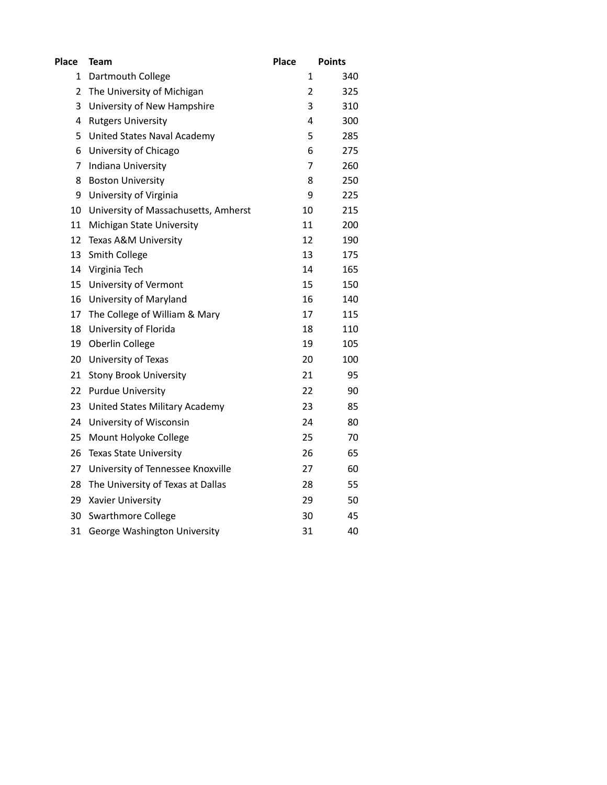| Place | <b>Team</b>                          | <b>Place</b>   | <b>Points</b> |
|-------|--------------------------------------|----------------|---------------|
| 1     | Dartmouth College                    | 1              | 340           |
| 2     | The University of Michigan           | $\overline{2}$ | 325           |
| 3     | University of New Hampshire          | 3              | 310           |
| 4     | <b>Rutgers University</b>            | 4              | 300           |
| 5     | United States Naval Academy          | 5              | 285           |
| 6     | University of Chicago                | 6              | 275           |
| 7     | Indiana University                   | 7              | 260           |
| 8     | <b>Boston University</b>             | 8              | 250           |
| 9     | University of Virginia               | 9              | 225           |
| 10    | University of Massachusetts, Amherst | 10             | 215           |
| 11    | Michigan State University            | 11             | 200           |
| 12    | Texas A&M University                 | 12             | 190           |
| 13    | <b>Smith College</b>                 | 13             | 175           |
| 14    | Virginia Tech                        | 14             | 165           |
| 15    | University of Vermont                | 15             | 150           |
| 16    | University of Maryland               | 16             | 140           |
| 17    | The College of William & Mary        | 17             | 115           |
| 18    | University of Florida                | 18             | 110           |
| 19    | Oberlin College                      | 19             | 105           |
| 20    | University of Texas                  | 20             | 100           |
| 21    | Stony Brook University               | 21             | 95            |
| 22    | <b>Purdue University</b>             | 22             | 90            |
| 23    | United States Military Academy       | 23             | 85            |
| 24    | University of Wisconsin              | 24             | 80            |
| 25    | Mount Holyoke College                | 25             | 70            |
| 26    | <b>Texas State University</b>        | 26             | 65            |
| 27    | University of Tennessee Knoxville    | 27             | 60            |
| 28    | The University of Texas at Dallas    | 28             | 55            |
| 29    | Xavier University                    | 29             | 50            |
| 30    | <b>Swarthmore College</b>            | 30             | 45            |
| 31    | George Washington University         | 31             | 40            |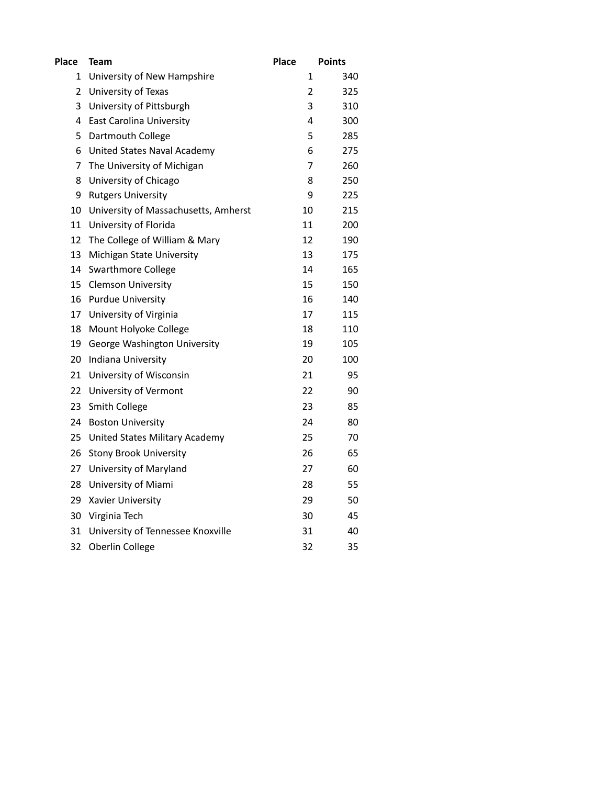| <b>Place</b>   | Team                                 | <b>Place</b>   | <b>Points</b> |
|----------------|--------------------------------------|----------------|---------------|
| 1              | University of New Hampshire          | 1              | 340           |
| $\overline{2}$ | University of Texas                  | $\overline{2}$ | 325           |
| 3              | University of Pittsburgh             | 3              | 310           |
| 4              | <b>East Carolina University</b>      | 4              | 300           |
| 5              | Dartmouth College                    | 5              | 285           |
| 6              | United States Naval Academy          | 6              | 275           |
| 7              | The University of Michigan           | 7              | 260           |
| 8              | University of Chicago                | 8              | 250           |
| 9              | <b>Rutgers University</b>            | 9              | 225           |
| 10             | University of Massachusetts, Amherst | 10             | 215           |
| 11             | University of Florida                | 11             | 200           |
| 12             | The College of William & Mary        | 12             | 190           |
| 13             | Michigan State University            | 13             | 175           |
| 14             | <b>Swarthmore College</b>            | 14             | 165           |
| 15             | <b>Clemson University</b>            | 15             | 150           |
| 16             | <b>Purdue University</b>             | 16             | 140           |
| 17             | University of Virginia               | 17             | 115           |
| 18             | Mount Holyoke College                | 18             | 110           |
| 19             | George Washington University         | 19             | 105           |
| 20             | Indiana University                   | 20             | 100           |
| 21             | University of Wisconsin              | 21             | 95            |
| 22             | University of Vermont                | 22             | 90            |
| 23             | <b>Smith College</b>                 | 23             | 85            |
| 24             | <b>Boston University</b>             | 24             | 80            |
| 25             | United States Military Academy       | 25             | 70            |
| 26             | <b>Stony Brook University</b>        | 26             | 65            |
| 27             | University of Maryland               | 27             | 60            |
| 28             | University of Miami                  | 28             | 55            |
| 29             | Xavier University                    | 29             | 50            |
| 30             | Virginia Tech                        | 30             | 45            |
| 31             | University of Tennessee Knoxville    | 31             | 40            |
| 32             | Oberlin College                      | 32             | 35            |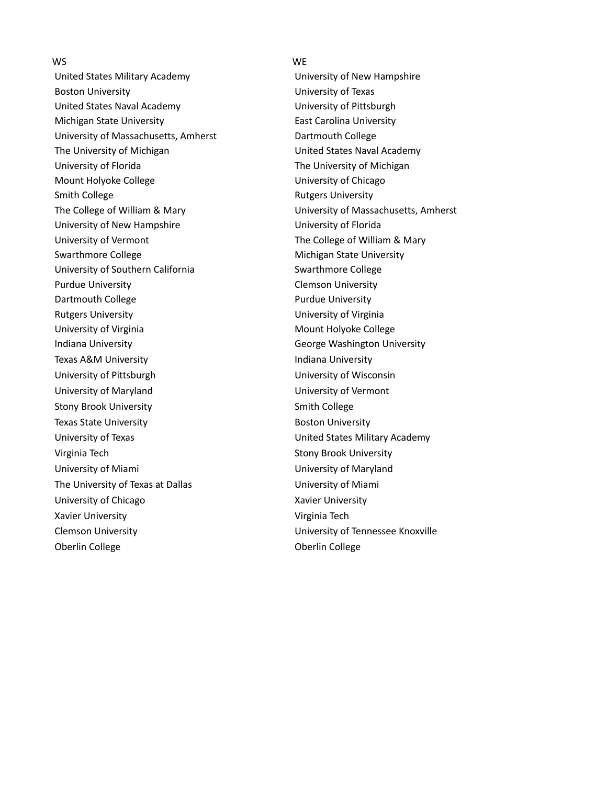## WS WE

United States Military Academy **Exercise 20** University of New Hampshire Boston University **No. 2018** University of Texas United States Naval Academy **University of Pittsburgh** Michigan State University **East Carolina University** University of Massachusetts, Amherst **Dartmouth College** The University of Michigan The United States Naval Academy University of Florida The University of Michigan Mount Holyoke College University of Chicago Smith College **Rutgers University** University of New Hampshire **University of Florida** University of Vermont The College of William & Mary Swarthmore College Michigan State University University of Southern California Swarthmore College Purdue University Clemson University Dartmouth College **Purdue University** Rutgers University **National Execution Control** University of Virginia University of Virginia Mount Holyoke College Indiana University George Washington University Texas A&M University **Indiana** University University of Pittsburgh University of Wisconsin University of Maryland University of Vermont Stony Brook University **Stone Smith College** Smith College Texas State University **Boston University Boston University**  University of Texas United States Military Academy Virginia Tech Stony Brook University University of Miami University of Maryland The University of Texas at Dallas University of Miami University of Chicago Xavier University Xavier University **Virginia Tech**  Clemson University University of Tennessee Knoxville Oberlin College **Oberlin** College

The College of William & Mary University of Massachusetts, Amherst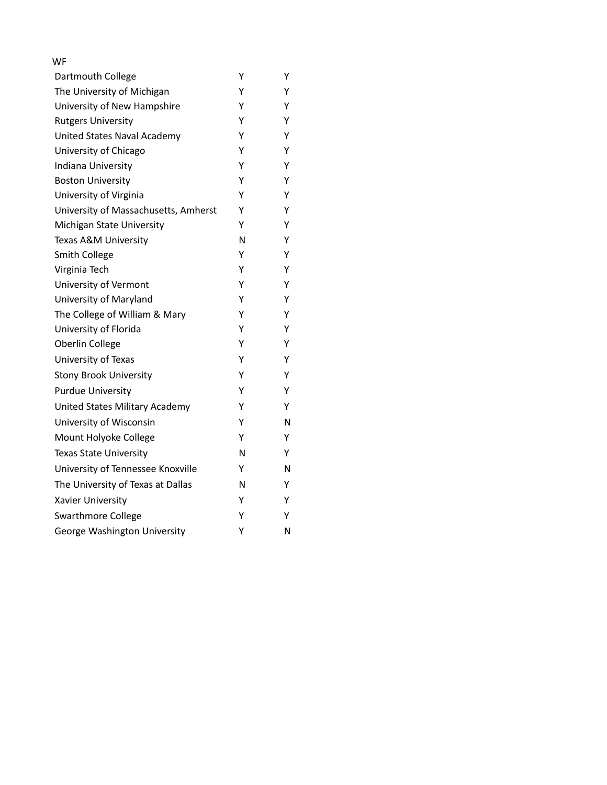| WF                                   |   |   |
|--------------------------------------|---|---|
| Dartmouth College                    | Υ | Y |
| The University of Michigan           | Υ | Υ |
| University of New Hampshire          | Υ | Y |
| <b>Rutgers University</b>            | Υ | Y |
| <b>United States Naval Academy</b>   | Υ | Y |
| University of Chicago                | Υ | Y |
| Indiana University                   | Υ | Y |
| <b>Boston University</b>             | Υ | Y |
| University of Virginia               | Υ | Y |
| University of Massachusetts, Amherst | Υ | Y |
| Michigan State University            | Υ | Y |
| Texas A&M University                 | N | Υ |
| <b>Smith College</b>                 | Υ | Y |
| Virginia Tech                        | Y | Y |
| University of Vermont                | Υ | Y |
| University of Maryland               | Υ | Y |
| The College of William & Mary        | Υ | Y |
| University of Florida                | Υ | Y |
| Oberlin College                      | Υ | Y |
| University of Texas                  | Υ | Y |
| <b>Stony Brook University</b>        | Υ | Y |
| <b>Purdue University</b>             | Υ | Y |
| United States Military Academy       | Y | Y |
| University of Wisconsin              | Υ | N |
| Mount Holyoke College                | Υ | Y |
| <b>Texas State University</b>        | N | Y |
| University of Tennessee Knoxville    | Y | Ν |
| The University of Texas at Dallas    | N | Y |
| Xavier University                    | Υ | Y |
| <b>Swarthmore College</b>            | Υ | Y |
| George Washington University         | Υ | N |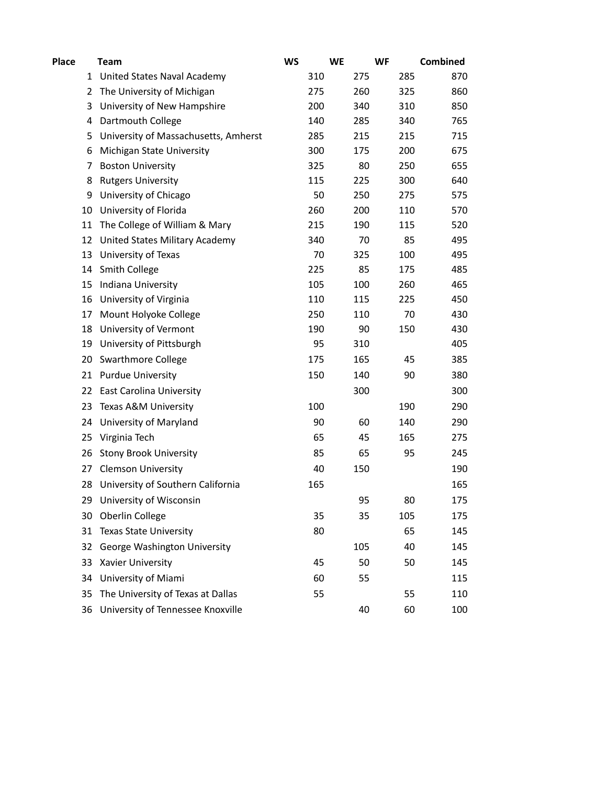| <b>Place</b> |    | <b>Team</b>                          | <b>WS</b> |     | <b>WE</b> | <b>WF</b> | Combined |
|--------------|----|--------------------------------------|-----------|-----|-----------|-----------|----------|
|              | 1  | United States Naval Academy          |           | 310 | 275       | 285       | 870      |
|              | 2  | The University of Michigan           |           | 275 | 260       | 325       | 860      |
|              | 3  | University of New Hampshire          |           | 200 | 340       | 310       | 850      |
|              | 4  | Dartmouth College                    |           | 140 | 285       | 340       | 765      |
|              | 5  | University of Massachusetts, Amherst |           | 285 | 215       | 215       | 715      |
|              | 6  | Michigan State University            |           | 300 | 175       | 200       | 675      |
|              | 7  | <b>Boston University</b>             |           | 325 | 80        | 250       | 655      |
|              | 8  | <b>Rutgers University</b>            |           | 115 | 225       | 300       | 640      |
|              | 9  | University of Chicago                |           | 50  | 250       | 275       | 575      |
|              | 10 | University of Florida                |           | 260 | 200       | 110       | 570      |
|              | 11 | The College of William & Mary        |           | 215 | 190       | 115       | 520      |
|              | 12 | United States Military Academy       |           | 340 | 70        | 85        | 495      |
|              | 13 | University of Texas                  |           | 70  | 325       | 100       | 495      |
|              | 14 | Smith College                        |           | 225 | 85        | 175       | 485      |
|              | 15 | Indiana University                   |           | 105 | 100       | 260       | 465      |
|              | 16 | University of Virginia               |           | 110 | 115       | 225       | 450      |
|              | 17 | Mount Holyoke College                |           | 250 | 110       | 70        | 430      |
|              | 18 | University of Vermont                |           | 190 | 90        | 150       | 430      |
|              | 19 | University of Pittsburgh             |           | 95  | 310       |           | 405      |
|              | 20 | <b>Swarthmore College</b>            |           | 175 | 165       | 45        | 385      |
|              | 21 | <b>Purdue University</b>             |           | 150 | 140       | 90        | 380      |
|              | 22 | East Carolina University             |           |     | 300       |           | 300      |
|              | 23 | Texas A&M University                 |           | 100 |           | 190       | 290      |
|              | 24 | University of Maryland               |           | 90  | 60        | 140       | 290      |
|              | 25 | Virginia Tech                        |           | 65  | 45        | 165       | 275      |
|              | 26 | <b>Stony Brook University</b>        |           | 85  | 65        | 95        | 245      |
|              | 27 | <b>Clemson University</b>            |           | 40  | 150       |           | 190      |
|              | 28 | University of Southern California    |           | 165 |           |           | 165      |
|              | 29 | University of Wisconsin              |           |     | 95        | 80        | 175      |
|              | 30 | Oberlin College                      |           | 35  | 35        | 105       | 175      |
|              | 31 | <b>Texas State University</b>        |           | 80  |           | 65        | 145      |
|              | 32 | George Washington University         |           |     | 105       | 40        | 145      |
|              | 33 | Xavier University                    |           | 45  | 50        | 50        | 145      |
|              | 34 | University of Miami                  |           | 60  | 55        |           | 115      |
|              | 35 | The University of Texas at Dallas    |           | 55  |           | 55        | 110      |
|              | 36 | University of Tennessee Knoxville    |           |     | 40        | 60        | 100      |
|              |    |                                      |           |     |           |           |          |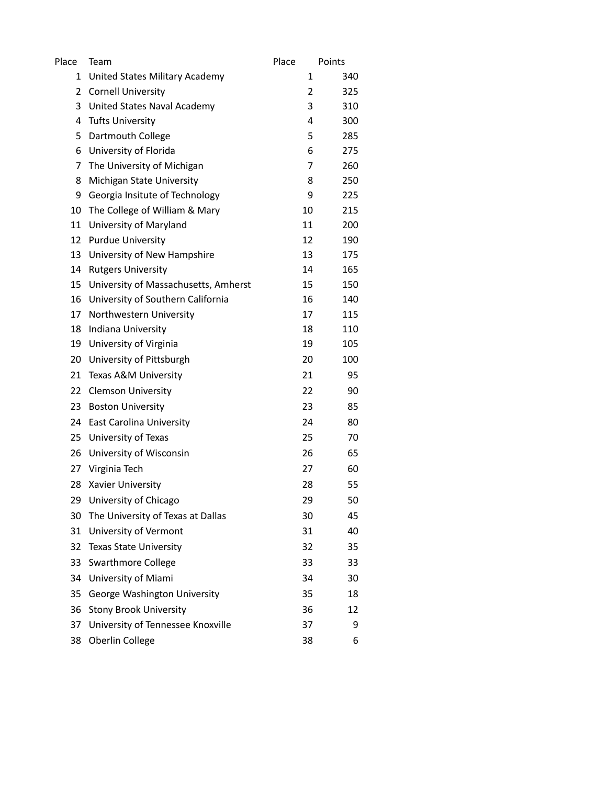| Place | Team                                 | Place | Points |
|-------|--------------------------------------|-------|--------|
| 1     | United States Military Academy       | 1     | 340    |
| 2     | <b>Cornell University</b>            | 2     | 325    |
| 3     | United States Naval Academy          | 3     | 310    |
| 4     | <b>Tufts University</b>              | 4     | 300    |
| 5     | Dartmouth College                    | 5     | 285    |
| 6     | University of Florida                | 6     | 275    |
| 7     | The University of Michigan           | 7     | 260    |
| 8     | Michigan State University            | 8     | 250    |
| 9     | Georgia Insitute of Technology       | 9     | 225    |
| 10    | The College of William & Mary        | 10    | 215    |
| 11    | University of Maryland               | 11    | 200    |
| 12    | <b>Purdue University</b>             | 12    | 190    |
| 13    | University of New Hampshire          | 13    | 175    |
| 14    | <b>Rutgers University</b>            | 14    | 165    |
| 15    | University of Massachusetts, Amherst | 15    | 150    |
| 16    | University of Southern California    | 16    | 140    |
| 17    | Northwestern University              | 17    | 115    |
| 18    | Indiana University                   | 18    | 110    |
| 19    | University of Virginia               | 19    | 105    |
| 20    | University of Pittsburgh             | 20    | 100    |
| 21    | Texas A&M University                 | 21    | 95     |
| 22    | <b>Clemson University</b>            | 22    | 90     |
| 23    | <b>Boston University</b>             | 23    | 85     |
| 24    | <b>East Carolina University</b>      | 24    | 80     |
| 25    | University of Texas                  | 25    | 70     |
| 26    | University of Wisconsin              | 26    | 65     |
| 27    | Virginia Tech                        | 27    | 60     |
| 28    | Xavier University                    | 28    | 55     |
| 29    | University of Chicago                | 29    | 50     |
| 30    | The University of Texas at Dallas    | 30    | 45     |
| 31    | University of Vermont                | 31    | 40     |
| 32    | <b>Texas State University</b>        | 32    | 35     |
| 33    | <b>Swarthmore College</b>            | 33    | 33     |
| 34    | University of Miami                  | 34    | 30     |
| 35    | George Washington University         | 35    | 18     |
| 36    | <b>Stony Brook University</b>        | 36    | 12     |
| 37    | University of Tennessee Knoxville    | 37    | 9      |
| 38    | Oberlin College                      | 38    | 6      |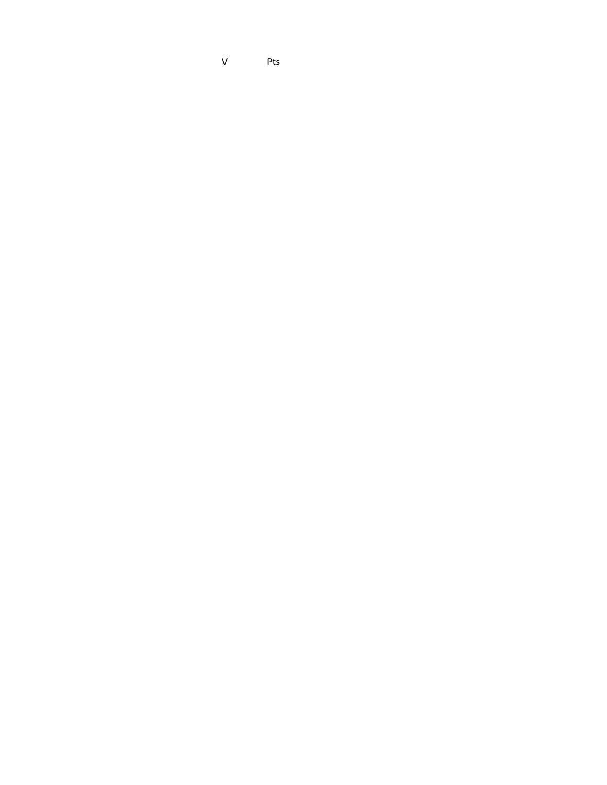V Pts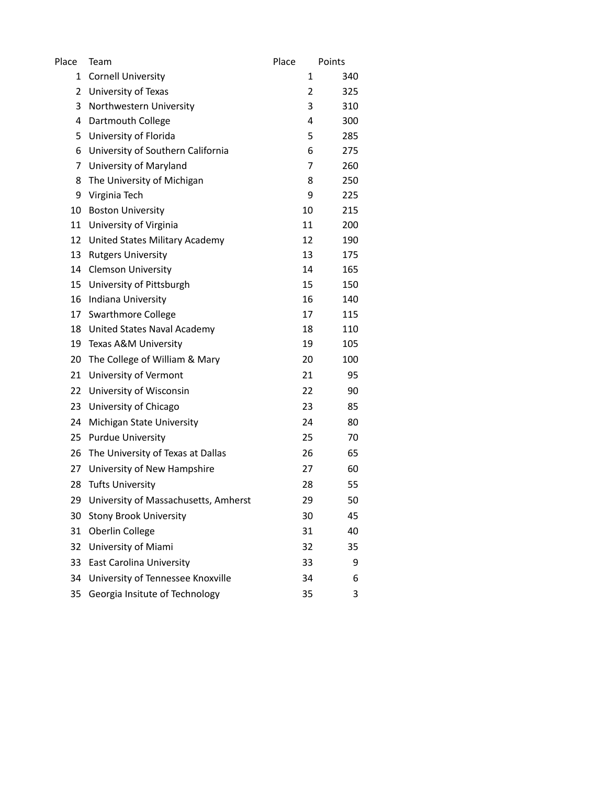| Place | Team                                 | Place | Points |
|-------|--------------------------------------|-------|--------|
| 1     | <b>Cornell University</b>            | 1     | 340    |
| 2     | University of Texas                  | 2     | 325    |
| 3     | Northwestern University              | 3     | 310    |
| 4     | Dartmouth College                    | 4     | 300    |
| 5     | University of Florida                | 5     | 285    |
| 6     | University of Southern California    | 6     | 275    |
| 7     | University of Maryland               | 7     | 260    |
| 8     | The University of Michigan           | 8     | 250    |
| 9     | Virginia Tech                        | 9     | 225    |
| 10    | <b>Boston University</b>             | 10    | 215    |
| 11    | University of Virginia               | 11    | 200    |
| 12    | United States Military Academy       | 12    | 190    |
| 13    | <b>Rutgers University</b>            | 13    | 175    |
| 14    | <b>Clemson University</b>            | 14    | 165    |
| 15    | University of Pittsburgh             | 15    | 150    |
| 16    | Indiana University                   | 16    | 140    |
| 17    | <b>Swarthmore College</b>            | 17    | 115    |
| 18    | United States Naval Academy          | 18    | 110    |
| 19    | Texas A&M University                 | 19    | 105    |
| 20    | The College of William & Mary        | 20    | 100    |
| 21    | University of Vermont                | 21    | 95     |
| 22    | University of Wisconsin              | 22    | 90     |
| 23    | University of Chicago                | 23    | 85     |
| 24    | Michigan State University            | 24    | 80     |
| 25    | <b>Purdue University</b>             | 25    | 70     |
| 26    | The University of Texas at Dallas    | 26    | 65     |
| 27    | University of New Hampshire          | 27    | 60     |
| 28    | <b>Tufts University</b>              | 28    | 55     |
| 29    | University of Massachusetts, Amherst | 29    | 50     |
| 30    | <b>Stony Brook University</b>        | 30    | 45     |
| 31    | Oberlin College                      | 31    | 40     |
| 32    | University of Miami                  | 32    | 35     |
| 33    | <b>East Carolina University</b>      | 33    | 9      |
| 34    | University of Tennessee Knoxville    | 34    | 6      |
| 35    | Georgia Insitute of Technology       | 35    | 3      |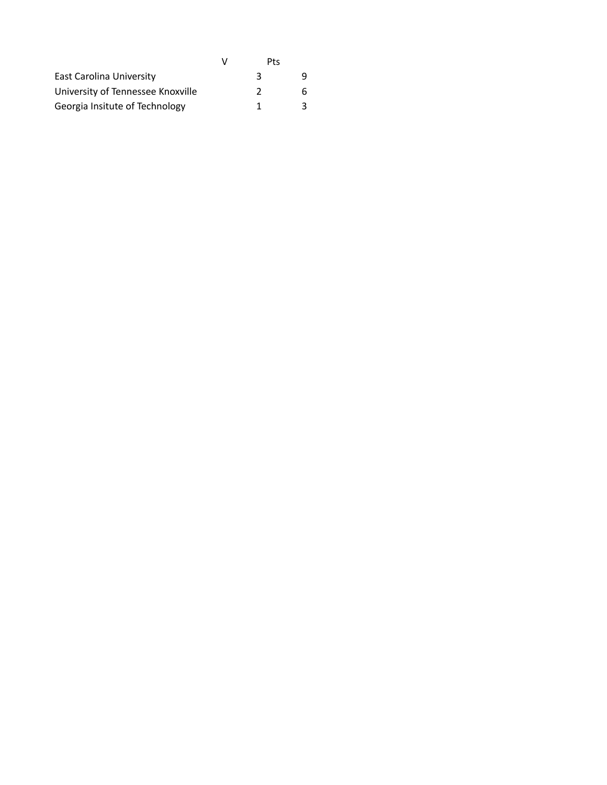|                                   | Pts |  |
|-----------------------------------|-----|--|
| <b>East Carolina University</b>   | З   |  |
| University of Tennessee Knoxville | 2   |  |
| Georgia Insitute of Technology    | 1   |  |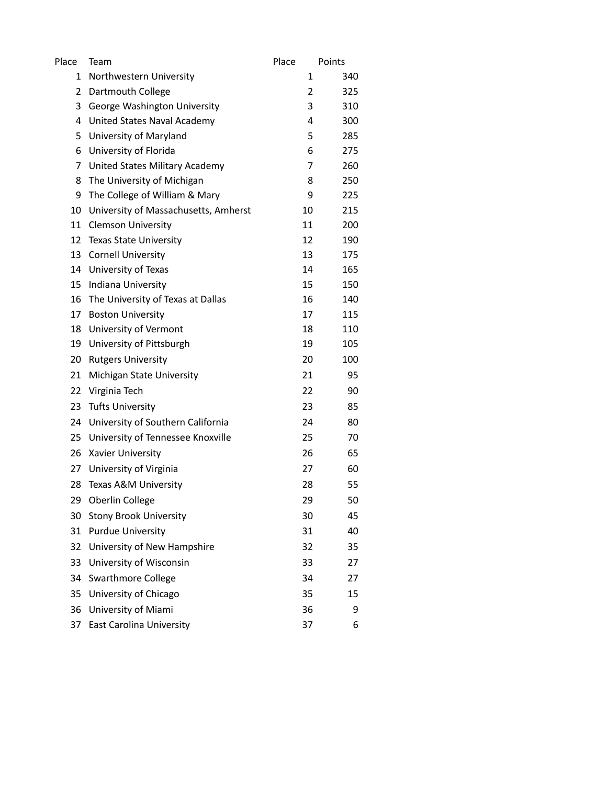| Place | Team                                 | Place | Points |
|-------|--------------------------------------|-------|--------|
| 1     | Northwestern University              | 1     | 340    |
| 2     | Dartmouth College                    | 2     | 325    |
| 3     | George Washington University         | 3     | 310    |
| 4     | United States Naval Academy          | 4     | 300    |
| 5     | University of Maryland               | 5     | 285    |
| 6     | University of Florida                | 6     | 275    |
| 7     | United States Military Academy       | 7     | 260    |
| 8     | The University of Michigan           | 8     | 250    |
| 9     | The College of William & Mary        | 9     | 225    |
| 10    | University of Massachusetts, Amherst | 10    | 215    |
| 11    | <b>Clemson University</b>            | 11    | 200    |
| 12    | <b>Texas State University</b>        | 12    | 190    |
| 13    | <b>Cornell University</b>            | 13    | 175    |
| 14    | University of Texas                  | 14    | 165    |
| 15    | Indiana University                   | 15    | 150    |
| 16    | The University of Texas at Dallas    | 16    | 140    |
| 17    | <b>Boston University</b>             | 17    | 115    |
| 18    | University of Vermont                | 18    | 110    |
| 19    | University of Pittsburgh             | 19    | 105    |
| 20    | <b>Rutgers University</b>            | 20    | 100    |
| 21    | Michigan State University            | 21    | 95     |
| 22    | Virginia Tech                        | 22    | 90     |
| 23    | <b>Tufts University</b>              | 23    | 85     |
| 24    | University of Southern California    | 24    | 80     |
| 25    | University of Tennessee Knoxville    | 25    | 70     |
| 26    | Xavier University                    | 26    | 65     |
| 27    | University of Virginia               | 27    | 60     |
| 28    | Texas A&M University                 | 28    | 55     |
| 29    | Oberlin College                      | 29    | 50     |
| 30    | <b>Stony Brook University</b>        | 30    | 45     |
| 31    | <b>Purdue University</b>             | 31    | 40     |
| 32    | University of New Hampshire          | 32    | 35     |
| 33    | University of Wisconsin              | 33    | 27     |
| 34    | <b>Swarthmore College</b>            | 34    | 27     |
| 35    | University of Chicago                | 35    | 15     |
| 36    | University of Miami                  | 36    | 9      |
| 37    | <b>East Carolina University</b>      | 37    | 6      |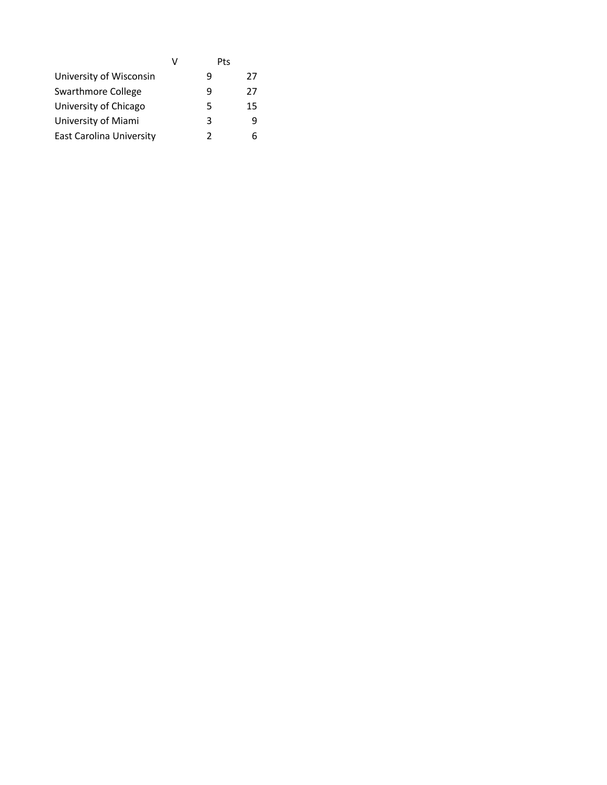|                                 | V | Pts |    |
|---------------------------------|---|-----|----|
| University of Wisconsin         |   | q   | 27 |
| Swarthmore College              |   | q   | 27 |
| University of Chicago           |   | 5   | 15 |
| University of Miami             |   | 3   |    |
| <b>East Carolina University</b> |   | 7   |    |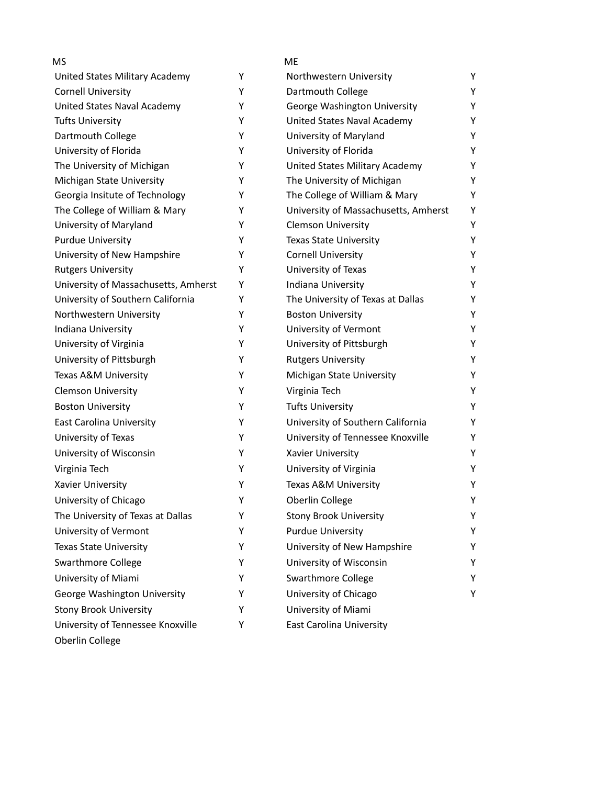| <b>MS</b>                            |   | <b>ME</b>                            |   |
|--------------------------------------|---|--------------------------------------|---|
| United States Military Academy       | Υ | Northwestern University              | Y |
| <b>Cornell University</b>            | Y | Dartmouth College                    | Y |
| United States Naval Academy          | Υ | George Washington University         | Y |
| <b>Tufts University</b>              | Y | United States Naval Academy          | Y |
| Dartmouth College                    | Υ | University of Maryland               | Y |
| University of Florida                | Y | University of Florida                | Y |
| The University of Michigan           | Y | United States Military Academy       | Y |
| Michigan State University            | Y | The University of Michigan           | Y |
| Georgia Insitute of Technology       | Y | The College of William & Mary        | Y |
| The College of William & Mary        | Y | University of Massachusetts, Amherst | Y |
| University of Maryland               | Y | <b>Clemson University</b>            | Y |
| <b>Purdue University</b>             | Y | <b>Texas State University</b>        | Y |
| University of New Hampshire          | Y | <b>Cornell University</b>            | Υ |
| <b>Rutgers University</b>            | Y | University of Texas                  | Y |
| University of Massachusetts, Amherst | Y | Indiana University                   | Y |
| University of Southern California    | Y | The University of Texas at Dallas    | Y |
| Northwestern University              | Y | <b>Boston University</b>             | Y |
| Indiana University                   | Υ | University of Vermont                | Y |
| University of Virginia               | Y | University of Pittsburgh             | Y |
| University of Pittsburgh             | Y | <b>Rutgers University</b>            | Y |
| Texas A&M University                 | Υ | Michigan State University            | Y |
| <b>Clemson University</b>            | Υ | Virginia Tech                        | Y |
| <b>Boston University</b>             | Y | <b>Tufts University</b>              | Y |
| <b>East Carolina University</b>      | Y | University of Southern California    | Υ |
| University of Texas                  | Y | University of Tennessee Knoxville    | Y |
| University of Wisconsin              | Υ | Xavier University                    | Y |
| Virginia Tech                        | Y | University of Virginia               | Υ |
| Xavier University                    | Y | Texas A&M University                 | Υ |
| University of Chicago                | Υ | Oberlin College                      | Υ |
| The University of Texas at Dallas    | Y | <b>Stony Brook University</b>        | Y |
| University of Vermont                | Y | <b>Purdue University</b>             | Y |
| <b>Texas State University</b>        | Y | University of New Hampshire          | Y |
| <b>Swarthmore College</b>            | Y | University of Wisconsin              | Y |
| University of Miami                  | Y | Swarthmore College                   | Y |
| George Washington University         | Y | University of Chicago                | Y |
| <b>Stony Brook University</b>        | Y | University of Miami                  |   |
| University of Tennessee Knoxville    | Y | East Carolina University             |   |
| Oberlin College                      |   |                                      |   |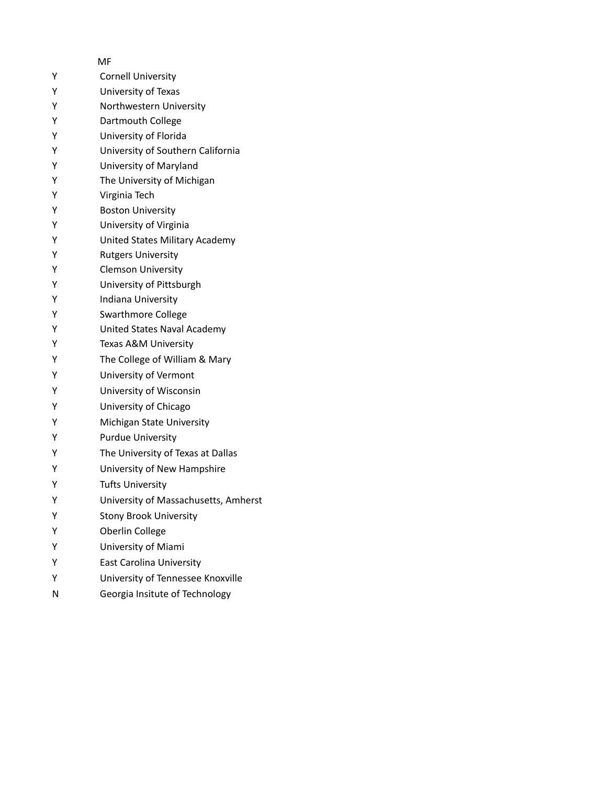|                  | MF                                                                                                                                                                                                                        |
|------------------|---------------------------------------------------------------------------------------------------------------------------------------------------------------------------------------------------------------------------|
| Υ                | <b>Cornell University</b>                                                                                                                                                                                                 |
| Y                | University of Texas                                                                                                                                                                                                       |
| Υ                | Northwestern University                                                                                                                                                                                                   |
| Υ                | Dartmouth College                                                                                                                                                                                                         |
| Υ                | University of Florida                                                                                                                                                                                                     |
| Υ                | University of Southern California                                                                                                                                                                                         |
| Υ                | University of Maryland                                                                                                                                                                                                    |
| Υ                | The University of Michigan                                                                                                                                                                                                |
| Υ                | Virginia Tech                                                                                                                                                                                                             |
| Υ                | <b>Boston University</b>                                                                                                                                                                                                  |
| Υ                | University of Virginia                                                                                                                                                                                                    |
| Υ                | United States Military Academy                                                                                                                                                                                            |
| Υ                | <b>Rutgers University</b>                                                                                                                                                                                                 |
| Υ                | <b>Clemson University</b>                                                                                                                                                                                                 |
| Υ                | University of Pittsburgh                                                                                                                                                                                                  |
| Υ                | Indiana University                                                                                                                                                                                                        |
| Υ                | <b>Swarthmore College</b>                                                                                                                                                                                                 |
| Υ                | United States Naval Academy                                                                                                                                                                                               |
| Υ                | Texas A&M University                                                                                                                                                                                                      |
| Y                | The College of William & Mary                                                                                                                                                                                             |
| Y                | University of Vermont                                                                                                                                                                                                     |
| Y                | University of Wisconsin                                                                                                                                                                                                   |
| Υ                | University of Chicago                                                                                                                                                                                                     |
| Υ                | Michigan State University                                                                                                                                                                                                 |
| Y                | <b>Purdue University</b>                                                                                                                                                                                                  |
| Y                | The University of Texas at Dallas                                                                                                                                                                                         |
| Υ                | University of New Hampshire                                                                                                                                                                                               |
| Υ                | <b>Tufts University</b>                                                                                                                                                                                                   |
| Υ                |                                                                                                                                                                                                                           |
| Υ                |                                                                                                                                                                                                                           |
| Υ                |                                                                                                                                                                                                                           |
|                  |                                                                                                                                                                                                                           |
|                  |                                                                                                                                                                                                                           |
|                  |                                                                                                                                                                                                                           |
|                  |                                                                                                                                                                                                                           |
| Υ<br>Y<br>Y<br>N | University of Massachusetts, Amherst<br><b>Stony Brook University</b><br>Oberlin College<br>University of Miami<br><b>East Carolina University</b><br>University of Tennessee Knoxville<br>Georgia Insitute of Technology |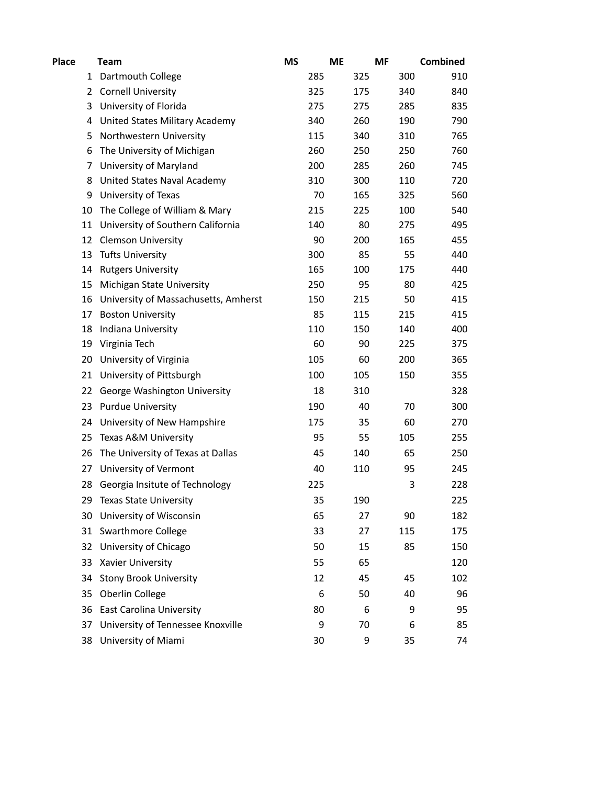| Place | <b>Team</b>                          | <b>MS</b> |                 | <b>ME</b> | <b>MF</b> | <b>Combined</b> |
|-------|--------------------------------------|-----------|-----------------|-----------|-----------|-----------------|
| 1     | Dartmouth College                    |           | 285             | 325       | 300       | 910             |
| 2     | <b>Cornell University</b>            |           | 325             | 175       | 340       | 840             |
| 3     | University of Florida                |           | 275             | 275       | 285       | 835             |
| 4     | United States Military Academy       |           | 340             | 260       | 190       | 790             |
| 5     | Northwestern University              |           | 115             | 340       | 310       | 765             |
| 6     | The University of Michigan           |           | 260             | 250       | 250       | 760             |
| 7     | University of Maryland               |           | 200             | 285       | 260       | 745             |
| 8     | United States Naval Academy          |           | 310             | 300       | 110       | 720             |
| 9     | University of Texas                  |           | 70              | 165       | 325       | 560             |
| 10    | The College of William & Mary        |           | 215             | 225       | 100       | 540             |
| 11    | University of Southern California    |           | 140             | 80        | 275       | 495             |
| 12    | <b>Clemson University</b>            |           | 90              | 200       | 165       | 455             |
| 13    | <b>Tufts University</b>              |           | 300             | 85        | 55        | 440             |
| 14    | <b>Rutgers University</b>            |           | 165             | 100       | 175       | 440             |
| 15    | Michigan State University            |           | 250             | 95        | 80        | 425             |
| 16    | University of Massachusetts, Amherst |           | 150             | 215       | 50        | 415             |
| 17    | <b>Boston University</b>             |           | 85              | 115       | 215       | 415             |
| 18    | Indiana University                   |           | 110             | 150       | 140       | 400             |
| 19    | Virginia Tech                        |           | 60              | 90        | 225       | 375             |
| 20    | University of Virginia               |           | 105             | 60        | 200       | 365             |
| 21    | University of Pittsburgh             |           | 100             | 105       | 150       | 355             |
| 22    | George Washington University         |           | 18              | 310       |           | 328             |
| 23    | <b>Purdue University</b>             |           | 190             | 40        | 70        | 300             |
| 24    | University of New Hampshire          |           | 175             | 35        | 60        | 270             |
| 25    | Texas A&M University                 |           | 95              | 55        | 105       | 255             |
| 26    | The University of Texas at Dallas    |           | 45              | 140       | 65        | 250             |
| 27    | University of Vermont                |           | 40              | 110       | 95        | 245             |
| 28    | Georgia Insitute of Technology       |           | 225             |           | 3         | 228             |
| 29    | <b>Texas State University</b>        |           | 35              | 190       |           | 225             |
| 30    | University of Wisconsin              |           | 65              | 27        | 90        | 182             |
| 31    | <b>Swarthmore College</b>            |           | 33              | 27        | 115       | 175             |
| 32    | University of Chicago                |           | 50              | 15        | 85        | 150             |
| 33    | Xavier University                    |           | 55              | 65        |           | 120             |
| 34    | <b>Stony Brook University</b>        |           | 12              | 45        | 45        | 102             |
| 35    | Oberlin College                      |           | $6\phantom{1}6$ | 50        | 40        | 96              |
| 36    | East Carolina University             |           | 80              | 6         | 9         | 95              |
| 37    | University of Tennessee Knoxville    |           | 9               | 70        | 6         | 85              |
| 38    | University of Miami                  |           | 30              | 9         | 35        | 74              |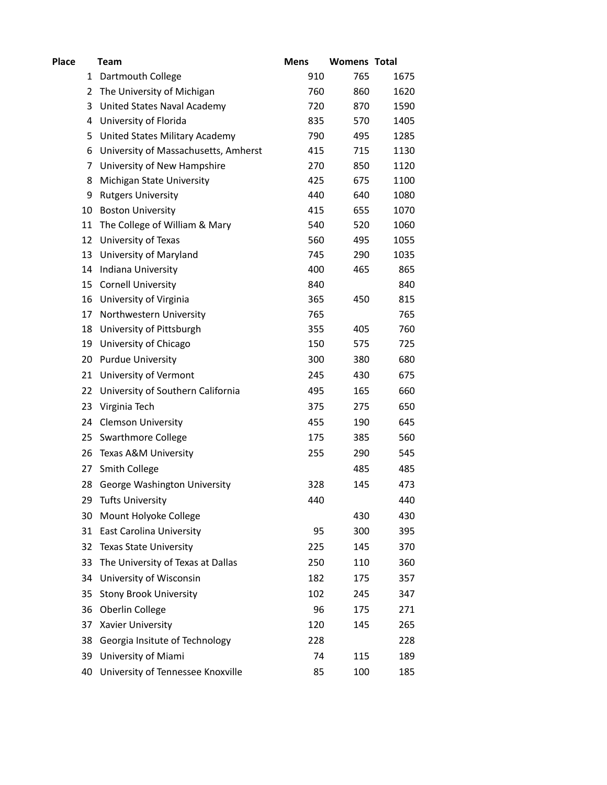| Place | Team                                 | <b>Mens</b> | <b>Womens Total</b> |      |
|-------|--------------------------------------|-------------|---------------------|------|
|       | Dartmouth College<br>1               | 910         | 765                 | 1675 |
|       | The University of Michigan<br>2      | 760         | 860                 | 1620 |
|       | United States Naval Academy<br>3     | 720         | 870                 | 1590 |
|       | University of Florida<br>4           | 835         | 570                 | 1405 |
|       | United States Military Academy<br>5  | 790         | 495                 | 1285 |
| 6     | University of Massachusetts, Amherst | 415         | 715                 | 1130 |
|       | University of New Hampshire<br>7     | 270         | 850                 | 1120 |
| 8     | Michigan State University            | 425         | 675                 | 1100 |
| 9     | <b>Rutgers University</b>            | 440         | 640                 | 1080 |
| 10    | <b>Boston University</b>             | 415         | 655                 | 1070 |
| 11    | The College of William & Mary        | 540         | 520                 | 1060 |
| 12    | University of Texas                  | 560         | 495                 | 1055 |
| 13    | University of Maryland               | 745         | 290                 | 1035 |
| 14    | Indiana University                   | 400         | 465                 | 865  |
| 15    | <b>Cornell University</b>            | 840         |                     | 840  |
| 16    | University of Virginia               | 365         | 450                 | 815  |
| 17    | Northwestern University              | 765         |                     | 765  |
| 18    | University of Pittsburgh             | 355         | 405                 | 760  |
| 19    | University of Chicago                | 150         | 575                 | 725  |
| 20    | <b>Purdue University</b>             | 300         | 380                 | 680  |
| 21    | University of Vermont                | 245         | 430                 | 675  |
| 22    | University of Southern California    | 495         | 165                 | 660  |
| 23    | Virginia Tech                        | 375         | 275                 | 650  |
|       | 24 Clemson University                | 455         | 190                 | 645  |
| 25    | <b>Swarthmore College</b>            | 175         | 385                 | 560  |
| 26    | Texas A&M University                 | 255         | 290                 | 545  |
| 27    | Smith College                        |             | 485                 | 485  |
| 28    | <b>George Washington University</b>  | 328         | 145                 | 473  |
| 29    | <b>Tufts University</b>              | 440         |                     | 440  |
| 30    | Mount Holyoke College                |             | 430                 | 430  |
| 31    | <b>East Carolina University</b>      | 95          | 300                 | 395  |
| 32    | <b>Texas State University</b>        | 225         | 145                 | 370  |
| 33    | The University of Texas at Dallas    | 250         | 110                 | 360  |
| 34    | University of Wisconsin              | 182         | 175                 | 357  |
| 35    | <b>Stony Brook University</b>        | 102         | 245                 | 347  |
| 36    | Oberlin College                      | 96          | 175                 | 271  |
| 37    | Xavier University                    | 120         | 145                 | 265  |
| 38    | Georgia Insitute of Technology       | 228         |                     | 228  |
| 39    | University of Miami                  | 74          | 115                 | 189  |
| 40    | University of Tennessee Knoxville    | 85          | 100                 | 185  |